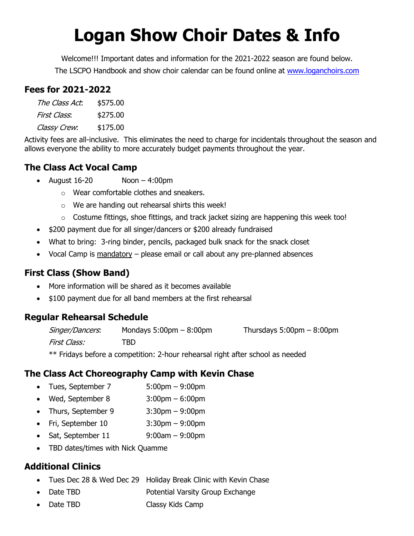# **Logan Show Choir Dates & Info**

Welcome!!! Important dates and information for the 2021-2022 season are found below. The LSCPO Handbook and show choir calendar can be found online at www.loganchoirs.com

### **Fees for 2021-2022**

| The Class Act. | \$575.00 |
|----------------|----------|
| First Class.   | \$275.00 |
| Classy Crew.   | \$175.00 |

Activity fees are all-inclusive. This eliminates the need to charge for incidentals throughout the season and allows everyone the ability to more accurately budget payments throughout the year.

# **The Class Act Vocal Camp**

- August  $16-20$  Noon  $-4:00 \text{pm}$ 
	- o Wear comfortable clothes and sneakers.
	- o We are handing out rehearsal shirts this week!
	- $\circ$  Costume fittings, shoe fittings, and track jacket sizing are happening this week too!
- \$200 payment due for all singer/dancers or \$200 already fundraised
- What to bring: 3-ring binder, pencils, packaged bulk snack for the snack closet
- Vocal Camp is mandatory please email or call about any pre-planned absences

# **First Class (Show Band)**

- More information will be shared as it becomes available
- \$100 payment due for all band members at the first rehearsal

# **Regular Rehearsal Schedule**

| Singer/Dancers. | Mondays $5:00 \text{pm} - 8:00 \text{pm}$ | Thursdays $5:00 \text{pm} - 8:00 \text{pm}$ |
|-----------------|-------------------------------------------|---------------------------------------------|
| First Class:    | TBD                                       |                                             |

\*\* Fridays before a competition: 2-hour rehearsal right after school as needed

# **The Class Act Choreography Camp with Kevin Chase**

- Tues, September 7 5:00pm 9:00pm
- Wed, September 8 3:00pm 6:00pm
- Thurs, September 9 3:30pm 9:00pm
- Fri, September 10 3:30pm 9:00pm
- Sat, September  $11$  9:00am 9:00pm
- TBD dates/times with Nick Quamme

# **Additional Clinics**

- Tues Dec 28 & Wed Dec 29 Holiday Break Clinic with Kevin Chase
- **Date TBD Potential Varsity Group Exchange**
- **Date TBD Classy Kids Camp**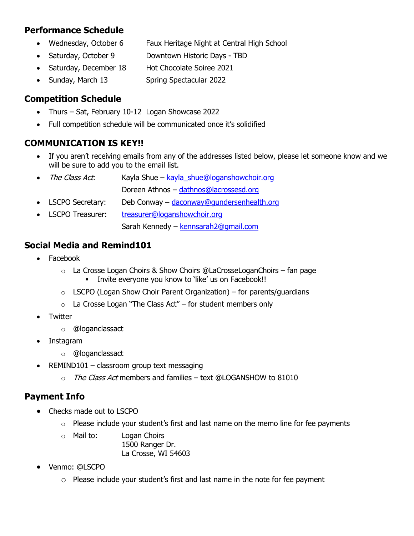#### **Performance Schedule**

- Wednesday, October 6 Faux Heritage Night at Central High School
- Saturday, October 9 Downtown Historic Days TBD
- Saturday, December 18 Hot Chocolate Soiree 2021
- Sunday, March 13 Spring Spectacular 2022

### **Competition Schedule**

- Thurs Sat, February 10-12 Logan Showcase 2022
- Full competition schedule will be communicated once it's solidified

### **COMMUNICATION IS KEY!!**

- If you aren't receiving emails from any of the addresses listed below, please let someone know and we will be sure to add you to the email list.
- The Class Act: Kayla Shue kayla\_shue@loganshowchoir.org Doreen Athnos – dathnos@lacrossesd.org
- LSCPO Secretary: Deb Conway daconway@gundersenhealth.org
- LSCPO Treasurer: treasurer@loganshowchoir.org Sarah Kennedy – kennsarah2@gmail.com

#### **Social Media and Remind101**

- Facebook
	- $\circ$  La Crosse Logan Choirs & Show Choirs @LaCrosseLoganChoirs fan page **•** Invite everyone you know to 'like' us on Facebook!!
	- $\circ$  LSCPO (Logan Show Choir Parent Organization) for parents/guardians
	- $\circ$  La Crosse Logan "The Class Act" for student members only
- **Twitter** 
	- o @loganclassact
- **Instagram** 
	- o @loganclassact
- REMIND101 classroom group text messaging
	- $\circ$  The Class Act members and families text @LOGANSHOW to 81010

#### **Payment Info**

- Checks made out to LSCPO
	- $\circ$  Please include your student's first and last name on the memo line for fee payments
	- o Mail to: Logan Choirs 1500 Ranger Dr. La Crosse, WI 54603
- Venmo: @LSCPO
	- $\circ$  Please include your student's first and last name in the note for fee payment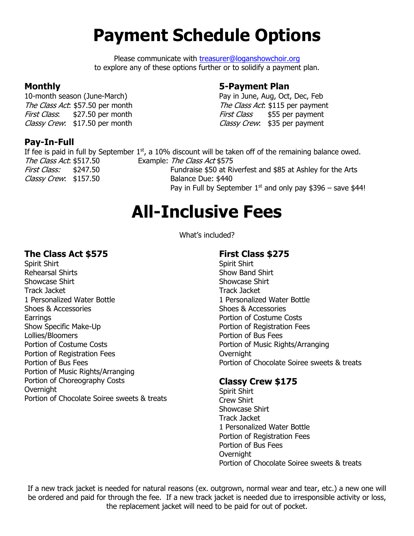# **Payment Schedule Options**

Please communicate with treasurer@loganshowchoir.org to explore any of these options further or to solidify a payment plan.

#### **Monthly**

10-month season (June-March) The Class Act: \$57.50 per month First Class: \$27.50 per month Classy Crew: \$17.50 per month

### **Pay-In-Full**

#### **5-Payment Plan**

Pay in June, Aug, Oct, Dec, Feb The Class Act: \$115 per payment First Class \$55 per payment Classy Crew: \$35 per payment

If fee is paid in full by September  $1<sup>st</sup>$ , a 10% discount will be taken off of the remaining balance owed. The Class Act: \$517.50 Example: The Class Act \$575 First Class: \$247.50 Fundraise \$50 at Riverfest and \$85 at Ashley for the Arts Classy Crew: \$157.50 Balance Due: \$440 Pay in Full by September  $1<sup>st</sup>$  and only pay \$396 – save \$44!

# **All-Inclusive Fees**

What's included?

#### **The Class Act \$575**

Spirit Shirt Rehearsal Shirts Showcase Shirt Track Jacket 1 Personalized Water Bottle Shoes & Accessories **Earrings** Show Specific Make-Up Lollies/Bloomers Portion of Costume Costs Portion of Registration Fees Portion of Bus Fees Portion of Music Rights/Arranging Portion of Choreography Costs **Overnight** Portion of Chocolate Soiree sweets & treats

#### **First Class \$275**

Spirit Shirt Show Band Shirt Showcase Shirt Track Jacket 1 Personalized Water Bottle Shoes & Accessories Portion of Costume Costs Portion of Registration Fees Portion of Bus Fees Portion of Music Rights/Arranging **Overnight** Portion of Chocolate Soiree sweets & treats

#### **Classy Crew \$175**

Spirit Shirt Crew Shirt Showcase Shirt Track Jacket 1 Personalized Water Bottle Portion of Registration Fees Portion of Bus Fees **Overnight** Portion of Chocolate Soiree sweets & treats

If a new track jacket is needed for natural reasons (ex. outgrown, normal wear and tear, etc.) a new one will be ordered and paid for through the fee. If a new track jacket is needed due to irresponsible activity or loss, the replacement jacket will need to be paid for out of pocket.